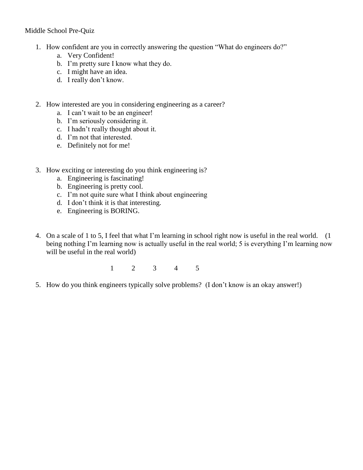## Middle School Pre-Quiz

- 1. How confident are you in correctly answering the question "What do engineers do?"
	- a. Very Confident!
	- b. I'm pretty sure I know what they do.
	- c. I might have an idea.
	- d. I really don't know.
- 2. How interested are you in considering engineering as a career?
	- a. I can't wait to be an engineer!
	- b. I'm seriously considering it.
	- c. I hadn't really thought about it.
	- d. I'm not that interested.
	- e. Definitely not for me!
- 3. How exciting or interesting do you think engineering is?
	- a. Engineering is fascinating!
	- b. Engineering is pretty cool.
	- c. I'm not quite sure what I think about engineering
	- d. I don't think it is that interesting.
	- e. Engineering is BORING.
- 4. On a scale of 1 to 5, I feel that what I'm learning in school right now is useful in the real world. (1 being nothing I'm learning now is actually useful in the real world; 5 is everything I'm learning now will be useful in the real world)

1 2 3 4 5

5. How do you think engineers typically solve problems? (I don't know is an okay answer!)